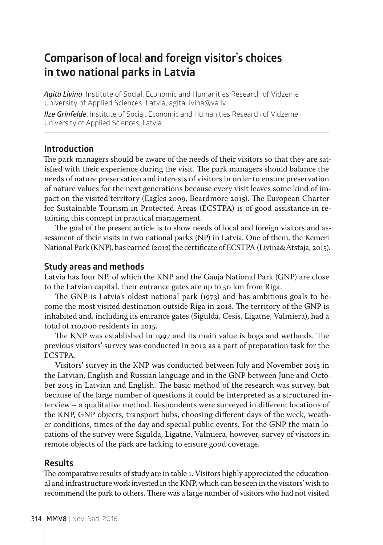# **Comparison of local and foreign visitor`s choices in two national parks in Latvia**

*Agita Livina*, Institute of Social, Economic and Humanities Research of Vidzeme University of Applied Sciences, Latvia, agita.livina@va.lv *Ilze Grinfelde*, Institute of Social, Economic and Humanities Research of Vidzeme University of Applied Sciences, Latvia

### **Introduction**

The park managers should be aware of the needs of their visitors so that they are satisfied with their experience during the visit. The park managers should balance the needs of nature preservation and interests of visitors in order to ensure preservation of nature values for the next generations because every visit leaves some kind of impact on the visited territory (Eagles 2009, Beardmore 2015). The European Charter for Sustainable Tourism in Protected Areas (ECSTPA) is of good assistance in retaining this concept in practical management.

The goal of the present article is to show needs of local and foreign visitors and assessment of their visits in two national parks (NP) in Latvia. One of them, the Kemeri National Park (KNP), has earned (2012) the certificate of ECSTPA (Livina&Atstaja, 2015).

#### **Study areas and methods**

Latvia has four NP, of which the KNP and the Gauja National Park (GNP) are close to the Latvian capital, their entrance gates are up to 50 km from Riga.

The GNP is Latvia's oldest national park (1973) and has ambitious goals to become the most visited destination outside Riga in 2018. The territory of the GNP is inhabited and, including its entrance gates (Sigulda, Cesis, Ligatne, Valmiera), had a total of 110,000 residents in 2015.

The KNP was established in 1997 and its main value is bogs and wetlands. The previous visitors' survey was conducted in 2012 as a part of preparation task for the ECSTPA.

Visitors' survey in the KNP was conducted between July and November 2015 in the Latvian, English and Russian language and in the GNP between June and October 2015 in Latvian and English. The basic method of the research was survey, but because of the large number of questions it could be interpreted as a structured interview – a qualitative method. Respondents were surveyed in different locations of the KNP, GNP objects, transport hubs, choosing different days of the week, weather conditions, times of the day and special public events. For the GNP the main locations of the survey were Sigulda, Ligatne, Valmiera, however, survey of visitors in remote objects of the park are lacking to ensure good coverage.

#### **Results**

The comparative results of study are in table 1. Visitors highly appreciated the educational and infrastructure work invested in the KNP, which can be seen in the visitors' wish to recommend the park to others. There was a large number of visitors who had not visited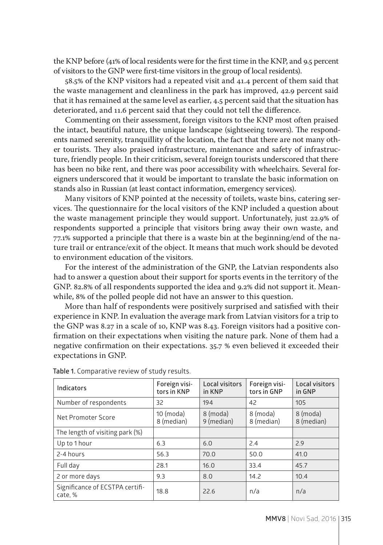the KNP before (41% of local residents were for the first time in the KNP, and 9.5 percent of visitors to the GNP were first-time visitors in the group of local residents).

58.5% of the KNP visitors had a repeated visit and 41.4 percent of them said that the waste management and cleanliness in the park has improved, 42.9 percent said that it has remained at the same level as earlier, 4.5 percent said that the situation has deteriorated, and 11.6 percent said that they could not tell the difference.

Commenting on their assessment, foreign visitors to the KNP most often praised the intact, beautiful nature, the unique landscape (sightseeing towers). The respondents named serenity, tranquillity of the location, the fact that there are not many other tourists. They also praised infrastructure, maintenance and safety of infrastructure, friendly people. In their criticism, several foreign tourists underscored that there has been no bike rent, and there was poor accessibility with wheelchairs. Several foreigners underscored that it would be important to translate the basic information on stands also in Russian (at least contact information, emergency services).

Many visitors of KNP pointed at the necessity of toilets, waste bins, catering services. The questionnaire for the local visitors of the KNP included a question about the waste management principle they would support. Unfortunately, just 22.9% of respondents supported a principle that visitors bring away their own waste, and 77.1% supported a principle that there is a waste bin at the beginning/end of the nature trail or entrance/exit of the object. It means that much work should be devoted to environment education of the visitors.

For the interest of the administration of the GNP, the Latvian respondents also had to answer a question about their support for sports events in the territory of the GNP. 82.8% of all respondents supported the idea and 9.2% did not support it. Meanwhile, 8% of the polled people did not have an answer to this question.

More than half of respondents were positively surprised and satisfied with their experience in KNP. In evaluation the average mark from Latvian visitors for a trip to the GNP was 8.27 in a scale of 10, KNP was 8.43. Foreign visitors had a positive confirmation on their expectations when visiting the nature park. None of them had a negative confirmation on their expectations. 35.7 % even believed it exceeded their expectations in GNP.

| Indicators                                | Foreign visi-<br>tors in KNP | Local visitors<br>in KNP | Foreign visi-<br>tors in GNP | Local visitors<br>in GNP |
|-------------------------------------------|------------------------------|--------------------------|------------------------------|--------------------------|
| Number of respondents                     | 32                           | 194                      | 42                           | 105                      |
| Net Promoter Score                        | $10 \pmod{a}$<br>8 (median)  | 8 (moda)<br>9 (median)   | 8 (moda)<br>8 (median)       | 8 (moda)<br>8 (median)   |
| The length of visiting park (%)           |                              |                          |                              |                          |
| Up to 1 hour                              | 6.3                          | 6.0                      | 2.4                          | 2.9                      |
| 2-4 hours                                 | 56.3                         | 70.0                     | 50.0                         | 41.0                     |
| Full day                                  | 28.1                         | 16.0                     | 33.4                         | 45.7                     |
| 2 or more days                            | 9.3                          | 8.0                      | 14.2                         | 10.4                     |
| Significance of ECSTPA certifi-<br>cate.% | 18.8                         | 22.6                     | n/a                          | n/a                      |

**Table 1.** Comparative review of study results.